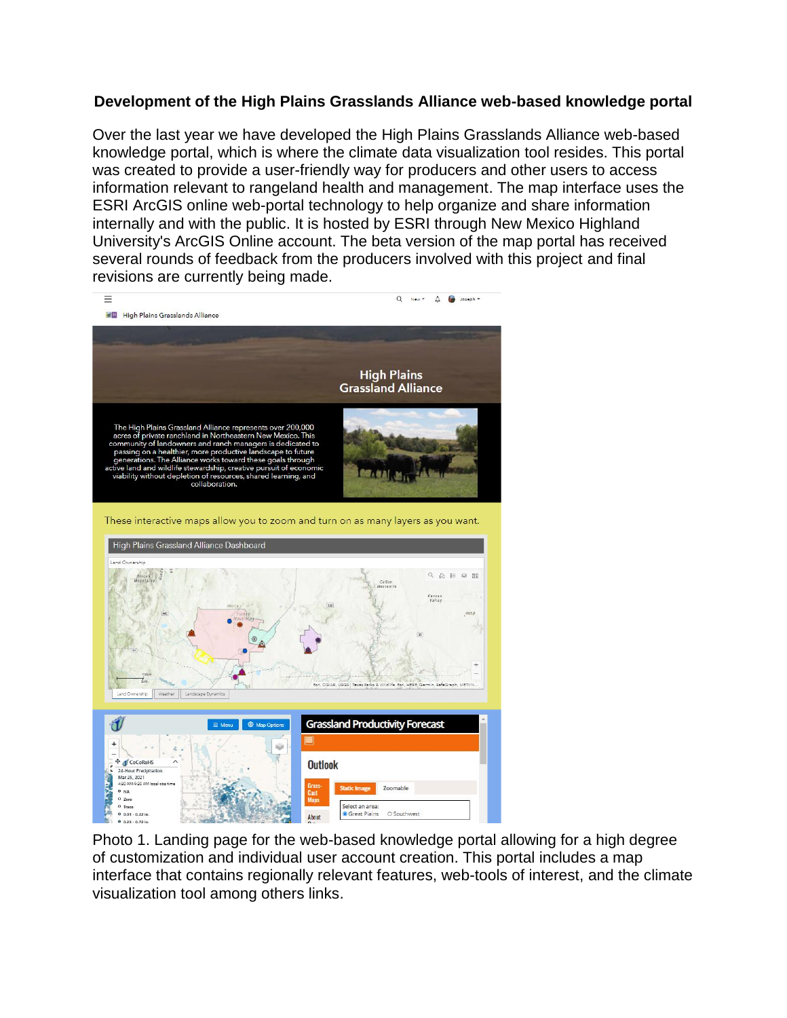## **Development of the High Plains Grasslands Alliance web-based knowledge portal**

Over the last year we have developed the High Plains Grasslands Alliance web-based knowledge portal, which is where the climate data visualization tool resides. This portal was created to provide a user-friendly way for producers and other users to access information relevant to rangeland health and management. The map interface uses the ESRI ArcGIS online web-portal technology to help organize and share information internally and with the public. It is hosted by ESRI through New Mexico Highland University's ArcGIS Online account. The beta version of the map portal has received several rounds of feedback from the producers involved with this project and final revisions are currently being made.



Photo 1. Landing page for the web-based knowledge portal allowing for a high degree of customization and individual user account creation. This portal includes a map interface that contains regionally relevant features, web-tools of interest, and the climate visualization tool among others links.